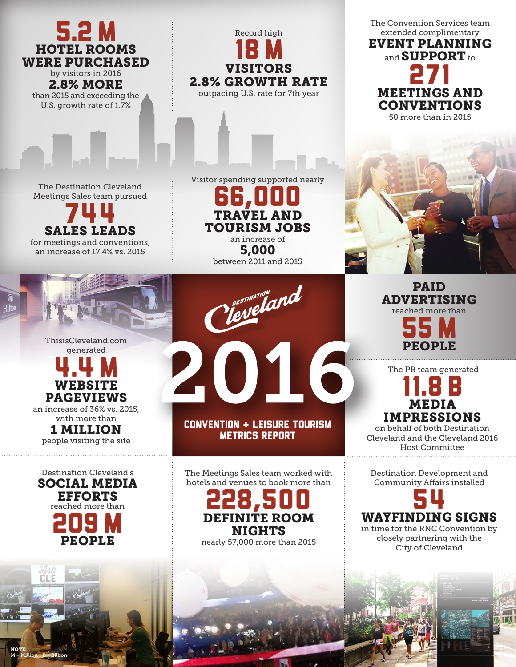The Convention Services team 5.2 M Record high extended complimentary 18 M EVENT PLANNING HOTEL ROOMS and **SUPPORT** to WERE PURCHASED 271 VISITORS by visitors in 2016 2.8% GROWTH RATE 2.8% MORE outpacing U.S. rate for 7th yearMEETINGS AND than 2015 and exceeding the U.S. growth rate of 1.7% CONVENTIONS 50 more than in 2015 Visitor spending supported nearly The Destination Cleveland 66,000 Meetings Sales team pursued 744 VEL AND TOURISM JOBS SALES LEADS an increase of for meetings and conventions, 5,000 an increase of 17.4% vs. 2015 between 2011 and 2015 reveland PAID ADVERTISING reached more than 55M ThisisCleveland.com 2016 PEOPLE generated 4.4M The PR team generated 11.8 B WEBSITE PAGEVIEWS MEDIA an increase of 36% vs. 2015, IMPRESSIONS with more than Convention + Leisure Tourism on behalf of both Destination 1 MILLION Metrics Report Cleveland and the Cleveland 2016 people visiting the site Host Committee Destination Cleveland's The Meetings Sales team worked with Destination Development and SOCIAL MEDIA hotels and venues to book more than Community Affairs installed 228,500 54 EFFORTS reached more than 209M WAYFINDING SIGNS DEFINITE ROOM in time for the RNC Convention by NIGHTS closely partnering with the PEOPLE nearly 57,000 more than 2015 City of Cleveland r'i F

NOTE:

M = Million B = Billion